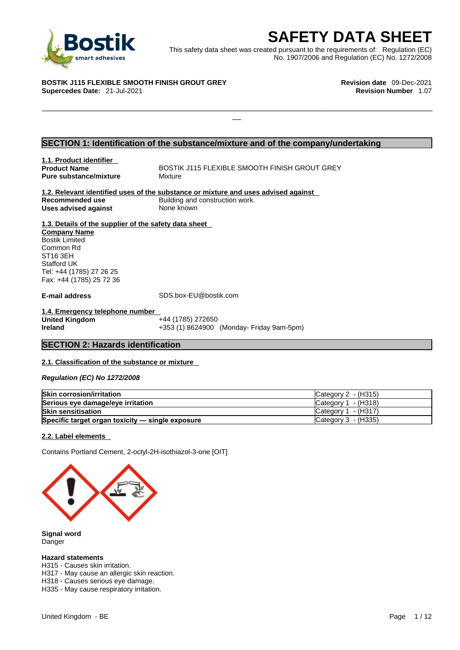

**SAFETY DATA SHEET**<br>
et was created pursuant to the requirements of: Regulation (EC)<br>
No. 1907/2006 and Regulation (EC) No. 1272/2008<br>
Revision date 09-Dec-2021<br>
Revision Number 1.07 This safety data sheet was created pursuant to the requirements of: Regulation (EC) No. 1907/2006 and Regulation (EC) No. 1272/2008

 $\Box$ 

**BOSTIK J115 FLEXIBLE SMOOTH FINISH GROUT GREY Revision date** 09-Dec-2021 **Supercedes Date: 21-Jul-2021** 

### **SECTION 1: Identification of the substance/mixture and of the company/undertaking**

**1.1. Product identifier Pure substance/mixture** Mixture

**Product Name BOSTIK J115 FLEXIBLE SMOOTH FINISH GROUT GREY** 

**1.2. Relevant identified uses of the substance or mixture and uses advised against Recommended use** Building and construction work.<br>
Uses advised against<br>
None known **Uses** advised against

**1.3. Details of the supplier of the safety data sheet Company Name** Bostik Limited

Common Rd ST16 3EH Stafford UK Tel: +44 (1785) 27 26 25 Fax: +44 (1785) 25 72 36

**E-mail address** SDS.box-EU@bostik.com

**1.4. Emergency telephone number United Kingdom**<br>Ireland **Ireland** +353 (1) 8624900 (Monday- Friday 9am-5pm)

#### **SECTION 2: Hazards identification**

#### **2.1. Classification of the substance or mixture**

*Regulation (EC) No 1272/2008* 

| <b>Skin corrosion/irritation</b>                 | Category $2 - (H315)$ |
|--------------------------------------------------|-----------------------|
| Serious eye damage/eye irritation                | Category $1 - (H318)$ |
| <b>Skin sensitisation</b>                        | Category $1 - (H317)$ |
| Specific target organ toxicity - single exposure | Category 3 - (H335)   |

#### **2.2. Label elements**

Contains Portland Cement, 2-octyl-2H-isothiazol-3-one [OIT]



**Signal word** Danger

#### **Hazard statements**

H315 - Causes skin irritation.

H317 - May cause an allergic skin reaction.

H318 - Causes serious eye damage.

H335 - May cause respiratory irritation.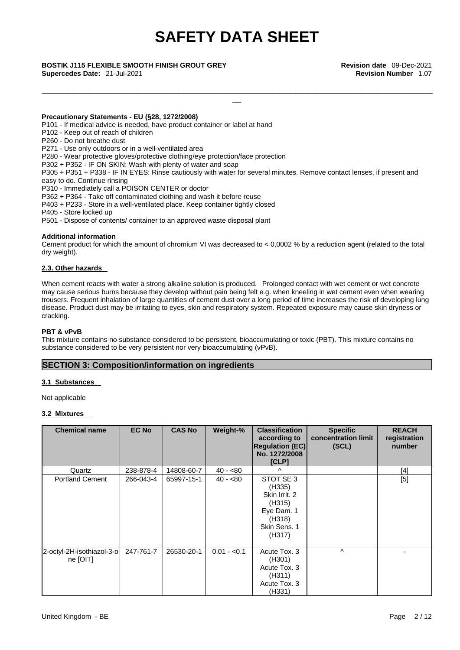\_\_\_\_\_\_\_\_\_\_\_\_\_\_\_\_\_\_\_\_\_\_\_\_\_\_\_\_\_\_\_\_\_\_\_\_\_\_\_\_\_\_\_\_\_\_\_\_\_\_\_\_\_\_\_\_\_\_\_\_\_\_\_\_\_\_\_\_\_\_\_\_\_\_\_\_\_\_\_\_\_\_\_\_\_\_\_\_\_\_\_

**Supercedes Date:** 21-Jul-2021 **Revision Number** 1.07

\_\_ **BOSTIK J115 FLEXIBLE SMOOTH FINISH GROUT GREY Revision date** 09-Dec-2021

#### **Precautionary Statements - EU (§28, 1272/2008)**

- P101 If medical advice is needed, have product container or label at hand
- P102 Keep out of reach of children
- P260 Do not breathe dust

P271 - Use only outdoors or in a well-ventilated area

P280 - Wear protective gloves/protective clothing/eye protection/face protection

P302 + P352 - IF ON SKIN: Wash with plenty of water and soap

P305 + P351 + P338 - IF IN EYES: Rinse cautiously with water for several minutes. Remove contact lenses, if present and easy to do. Continue rinsing

P310 - Immediately call a POISON CENTER or doctor

P362 + P364 - Take off contaminated clothing and wash it before reuse

P403 + P233 - Store in a well-ventilated place. Keep container tightly closed

P405 - Store locked up

P501 - Dispose of contents/ container to an approved waste disposal plant

#### **Additional information**

Cement product for which the amount of chromium VI was decreased to  $< 0.0002$  % by a reduction agent (related to the total dry weight).

#### **2.3. Other hazards**

When cement reacts with water a strong alkaline solution is produced. Prolonged contact with wet cement or wet concrete may cause serious burns because they develop without pain being felt e.g. when kneeling in wet cement even when wearing trousers. Frequent inhalation of large quantities of cement dust over a long period of time increases the risk of developing lung disease. Product dust may be irritating to eyes, skin and respiratory system. Repeated exposure may cause skin dryness or cracking.

#### **PBT & vPvB**

This mixture contains no substance considered to be persistent, bioaccumulating or toxic (PBT). This mixture contains no substance considered to be very persistent nor very bioaccumulating (vPvB).

#### **SECTION 3: Composition/information on ingredients**

#### **3.1 Substances**

Not applicable

#### **3.2 Mixtures**

| <b>Chemical name</b>                  | <b>EC No</b> | <b>CAS No</b> | Weight-%     | <b>Classification</b><br>according to<br><b>Regulation (EC)</b><br>No. 1272/2008<br>[CLP]        | <b>Specific</b><br>concentration limit<br>(SCL) | <b>REACH</b><br>registration<br>number |
|---------------------------------------|--------------|---------------|--------------|--------------------------------------------------------------------------------------------------|-------------------------------------------------|----------------------------------------|
| Quartz                                | 238-878-4    | 14808-60-7    | $40 - 80$    | $\lambda$                                                                                        |                                                 | [4]                                    |
| <b>Portland Cement</b>                | 266-043-4    | 65997-15-1    | $40 - 80$    | STOT SE 3<br>(H335)<br>Skin Irrit. 2<br>(H315)<br>Eye Dam. 1<br>(H318)<br>Skin Sens. 1<br>(H317) |                                                 | [5]                                    |
| 2-octyl-2H-isothiazol-3-o<br>ne [OIT] | 247-761-7    | 26530-20-1    | $0.01 - 0.1$ | Acute Tox. 3<br>(H301)<br>Acute Tox. 3<br>(H311)<br>Acute Tox. 3<br>(H331)                       | $\wedge$                                        |                                        |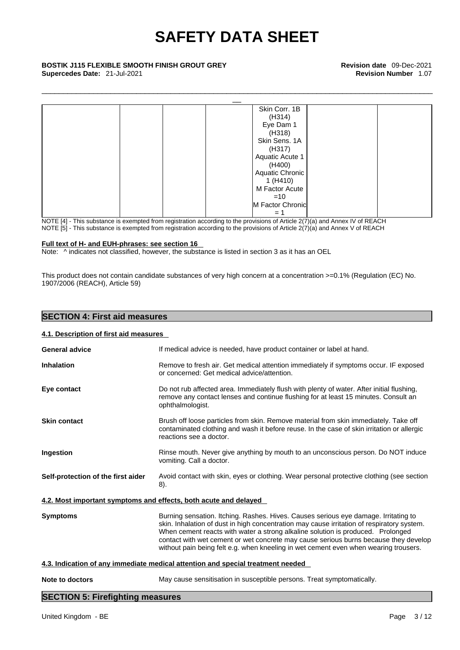**Supercedes Date:** 21-Jul-2021 **Revision Number** 1.07



NOTE [4] - This substance is exempted from registration according to the provisions of Article 2(7)(a) and Annex IV of REACH NOTE [5] - This substance is exempted from registration according to the provisions of Article 2(7)(a) and Annex V of REACH

#### **Full text of H- and EUH-phrases: see section 16**

Note:  $\wedge$  indicates not classified, however, the substance is listed in section 3 as it has an OEL

This product does not contain candidate substances of very high concern at a concentration >=0.1% (Regulation (EC) No. 1907/2006 (REACH), Article 59)

#### **SECTION 4: First aid measures**

#### **4.1. Description of first aid measures**

| <b>General advice</b>                                            | If medical advice is needed, have product container or label at hand.                                                                                                                                                                                                                                                                                                                                                                                |
|------------------------------------------------------------------|------------------------------------------------------------------------------------------------------------------------------------------------------------------------------------------------------------------------------------------------------------------------------------------------------------------------------------------------------------------------------------------------------------------------------------------------------|
| <b>Inhalation</b>                                                | Remove to fresh air. Get medical attention immediately if symptoms occur. IF exposed<br>or concerned: Get medical advice/attention.                                                                                                                                                                                                                                                                                                                  |
| Eye contact                                                      | Do not rub affected area. Immediately flush with plenty of water. After initial flushing,<br>remove any contact lenses and continue flushing for at least 15 minutes. Consult an<br>ophthalmologist.                                                                                                                                                                                                                                                 |
| <b>Skin contact</b>                                              | Brush off loose particles from skin. Remove material from skin immediately. Take off<br>contaminated clothing and wash it before reuse. In the case of skin irritation or allergic<br>reactions see a doctor.                                                                                                                                                                                                                                        |
| Ingestion                                                        | Rinse mouth. Never give anything by mouth to an unconscious person. Do NOT induce<br>vomiting. Call a doctor.                                                                                                                                                                                                                                                                                                                                        |
| Self-protection of the first aider                               | Avoid contact with skin, eyes or clothing. Wear personal protective clothing (see section<br>8).                                                                                                                                                                                                                                                                                                                                                     |
| 4.2. Most important symptoms and effects, both acute and delayed |                                                                                                                                                                                                                                                                                                                                                                                                                                                      |
| <b>Symptoms</b>                                                  | Burning sensation. Itching. Rashes. Hives. Causes serious eye damage. Irritating to<br>skin. Inhalation of dust in high concentration may cause irritation of respiratory system.<br>When cement reacts with water a strong alkaline solution is produced. Prolonged<br>contact with wet cement or wet concrete may cause serious burns because they develop<br>without pain being felt e.g. when kneeling in wet cement even when wearing trousers. |
|                                                                  | 4.3. Indication of any immediate medical attention and special treatment needed                                                                                                                                                                                                                                                                                                                                                                      |
| Note to doctors                                                  | May cause sensitisation in susceptible persons. Treat symptomatically.                                                                                                                                                                                                                                                                                                                                                                               |
|                                                                  |                                                                                                                                                                                                                                                                                                                                                                                                                                                      |

#### **SECTION 5: Firefighting measures**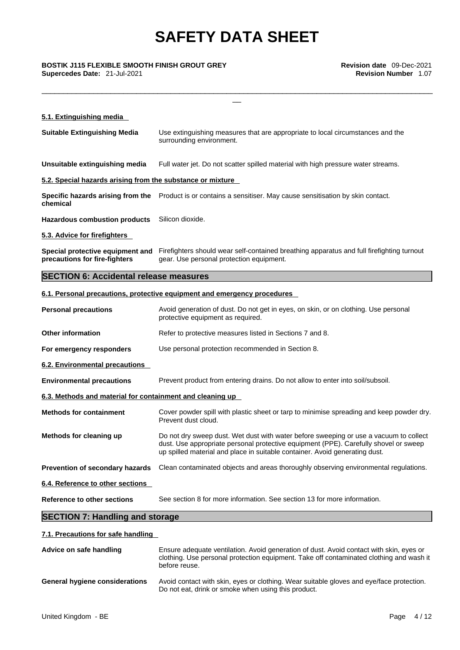**Supercedes Date:** 21-Jul-2021 **Revision Number** 1.07

| BOSTIK J115 FLEXIBLE SMOOTH FINISH GROUT GREY<br>Supercedes Date: 21-Jul-2021 | <b>Revision date</b> 09-Dec-2021<br><b>Revision Number 1.07</b>                                                                                                                                                                                              |
|-------------------------------------------------------------------------------|--------------------------------------------------------------------------------------------------------------------------------------------------------------------------------------------------------------------------------------------------------------|
| 5.1. Extinguishing media                                                      |                                                                                                                                                                                                                                                              |
|                                                                               |                                                                                                                                                                                                                                                              |
| <b>Suitable Extinguishing Media</b>                                           | Use extinguishing measures that are appropriate to local circumstances and the<br>surrounding environment.                                                                                                                                                   |
| Unsuitable extinguishing media                                                | Full water jet. Do not scatter spilled material with high pressure water streams.                                                                                                                                                                            |
| 5.2. Special hazards arising from the substance or mixture                    |                                                                                                                                                                                                                                                              |
| chemical                                                                      | Specific hazards arising from the Product is or contains a sensitiser. May cause sensitisation by skin contact.                                                                                                                                              |
| <b>Hazardous combustion products</b>                                          | Silicon dioxide.                                                                                                                                                                                                                                             |
| 5.3. Advice for firefighters                                                  |                                                                                                                                                                                                                                                              |
| precautions for fire-fighters                                                 | Special protective equipment and Firefighters should wear self-contained breathing apparatus and full firefighting turnout<br>gear. Use personal protection equipment.                                                                                       |
| <b>SECTION 6: Accidental release measures</b>                                 |                                                                                                                                                                                                                                                              |
|                                                                               | 6.1. Personal precautions, protective equipment and emergency procedures                                                                                                                                                                                     |
| <b>Personal precautions</b>                                                   | Avoid generation of dust. Do not get in eyes, on skin, or on clothing. Use personal<br>protective equipment as required.                                                                                                                                     |
| <b>Other information</b>                                                      | Refer to protective measures listed in Sections 7 and 8.                                                                                                                                                                                                     |
| For emergency responders                                                      | Use personal protection recommended in Section 8.                                                                                                                                                                                                            |
| 6.2. Environmental precautions                                                |                                                                                                                                                                                                                                                              |
| <b>Environmental precautions</b>                                              | Prevent product from entering drains. Do not allow to enter into soil/subsoil.                                                                                                                                                                               |
| 6.3. Methods and material for containment and cleaning up                     |                                                                                                                                                                                                                                                              |
| <b>Methods for containment</b>                                                | Cover powder spill with plastic sheet or tarp to minimise spreading and keep powder dry.<br>Prevent dust cloud.                                                                                                                                              |
| Methods for cleaning up                                                       | Do not dry sweep dust. Wet dust with water before sweeping or use a vacuum to collect<br>dust. Use appropriate personal protective equipment (PPE). Carefully shovel or sweep<br>up spilled material and place in suitable container. Avoid generating dust. |

**Prevention of secondary hazards** Clean contaminated objects and areas thoroughly observing environmental regulations.

**6.4. Reference to other sections** 

**Reference to other sections** See section 8 for more information. See section 13 for more information.

### **SECTION 7: Handling and storage**

#### **7.1. Precautions for safe handling**

| Advice on safe handling               | Ensure adequate ventilation. Avoid generation of dust. Avoid contact with skin, eyes or<br>clothing. Use personal protection equipment. Take off contaminated clothing and wash it<br>before reuse. |
|---------------------------------------|-----------------------------------------------------------------------------------------------------------------------------------------------------------------------------------------------------|
| <b>General hygiene considerations</b> | Avoid contact with skin, eyes or clothing. Wear suitable gloves and eye/face protection.<br>Do not eat, drink or smoke when using this product.                                                     |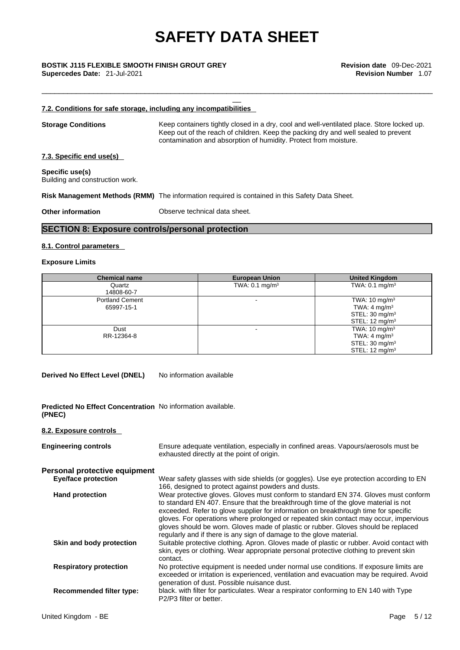# \_\_ **BOSTIK J115 FLEXIBLE SMOOTH FINISH GROUT GREY Revision date** 09-Dec-2021

**Supercedes Date:** 21-Jul-2021 **Revision Number** 1.07

#### **7.2. Conditions for safe storage, including any incompatibilities**

**Storage Conditions** Keep containers tightly closed in a dry, cool and well-ventilated place. Store locked up. Keep out of the reach of children. Keep the packing dry and well sealed to prevent contamination and absorption of humidity. Protect from moisture.

\_\_\_\_\_\_\_\_\_\_\_\_\_\_\_\_\_\_\_\_\_\_\_\_\_\_\_\_\_\_\_\_\_\_\_\_\_\_\_\_\_\_\_\_\_\_\_\_\_\_\_\_\_\_\_\_\_\_\_\_\_\_\_\_\_\_\_\_\_\_\_\_\_\_\_\_\_\_\_\_\_\_\_\_\_\_\_\_\_\_\_

#### **7.3. Specific end use(s)**

**Specific use(s)** Building and construction work.

**Risk Management Methods (RMM)** The information required is contained in this Safety Data Sheet.

**Other information Observe technical data sheet.** 

### **SECTION 8: Exposure controls/personal protection**

#### **8.1. Control parameters**

#### **Exposure Limits**

| <b>Chemical name</b>                 | <b>European Union</b>     | <b>United Kingdom</b>                                                                                          |
|--------------------------------------|---------------------------|----------------------------------------------------------------------------------------------------------------|
| Quartz<br>14808-60-7                 | TWA: $0.1 \text{ mg/m}^3$ | TWA: $0.1 \text{ mg/m}^3$                                                                                      |
| <b>Portland Cement</b><br>65997-15-1 |                           | TWA: $10 \text{ mg/m}^3$<br>TWA: 4 mg/m <sup>3</sup><br>STEL: $30 \text{ mg/m}^3$<br>STEL: $12 \text{ mg/m}^3$ |
| Dust<br>RR-12364-8                   |                           | TWA: $10 \text{ mg/m}^3$<br>TWA: 4 mg/m <sup>3</sup><br>STEL: $30 \text{ mg/m}^3$<br>STEL: $12 \text{ mg/m}^3$ |

**Derived No Effect Level (DNEL)** No information available

**Predicted No Effect Concentration** No information available. **(PNEC)** 

#### **8.2. Exposure controls**

| <b>Engineering controls</b>   | Ensure adequate ventilation, especially in confined areas. Vapours/aerosols must be<br>exhausted directly at the point of origin.                                                                                                                                                                                                                                                                                                                                                                                      |
|-------------------------------|------------------------------------------------------------------------------------------------------------------------------------------------------------------------------------------------------------------------------------------------------------------------------------------------------------------------------------------------------------------------------------------------------------------------------------------------------------------------------------------------------------------------|
| Personal protective equipment |                                                                                                                                                                                                                                                                                                                                                                                                                                                                                                                        |
| <b>Eye/face protection</b>    | Wear safety glasses with side shields (or goggles). Use eye protection according to EN<br>166, designed to protect against powders and dusts.                                                                                                                                                                                                                                                                                                                                                                          |
| <b>Hand protection</b>        | Wear protective gloves. Gloves must conform to standard EN 374. Gloves must conform<br>to standard EN 407. Ensure that the breakthrough time of the glove material is not<br>exceeded. Refer to glove supplier for information on breakthrough time for specific<br>gloves. For operations where prolonged or repeated skin contact may occur, impervious<br>gloves should be worn. Gloves made of plastic or rubber. Gloves should be replaced<br>regularly and if there is any sign of damage to the glove material. |
| Skin and body protection      | Suitable protective clothing. Apron. Gloves made of plastic or rubber. Avoid contact with<br>skin, eyes or clothing. Wear appropriate personal protective clothing to prevent skin<br>contact.                                                                                                                                                                                                                                                                                                                         |
| <b>Respiratory protection</b> | No protective equipment is needed under normal use conditions. If exposure limits are<br>exceeded or irritation is experienced, ventilation and evacuation may be required. Avoid<br>generation of dust. Possible nuisance dust.                                                                                                                                                                                                                                                                                       |
| Recommended filter type:      | black. with filter for particulates. Wear a respirator conforming to EN 140 with Type<br>P2/P3 filter or better.                                                                                                                                                                                                                                                                                                                                                                                                       |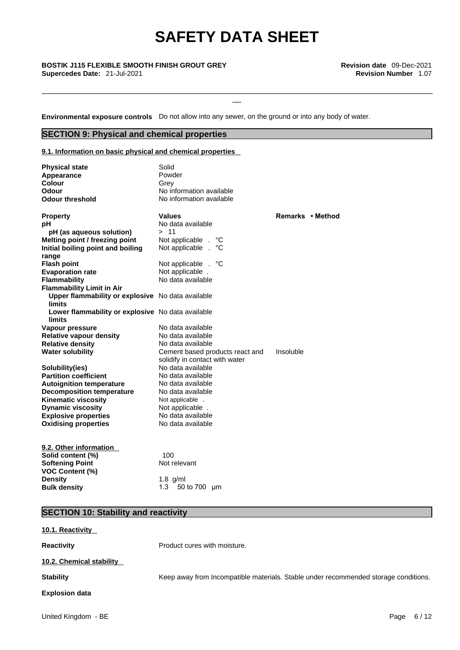\_\_\_\_\_\_\_\_\_\_\_\_\_\_\_\_\_\_\_\_\_\_\_\_\_\_\_\_\_\_\_\_\_\_\_\_\_\_\_\_\_\_\_\_\_\_\_\_\_\_\_\_\_\_\_\_\_\_\_\_\_\_\_\_\_\_\_\_\_\_\_\_\_\_\_\_\_\_\_\_\_\_\_\_\_\_\_\_\_\_\_

\_\_ **BOSTIK J115 FLEXIBLE SMOOTH FINISH GROUT GREY Revision date** 09-Dec-2021 **Supercedes Date:** 21-Jul-2021 **Revision Number** 1.07

**Environmental exposure controls** Do not allow into any sewer, on the ground or into any body of water.

### **SECTION 9: Physical and chemical properties**

**9.1. Information on basic physical and chemical properties**

| <b>Physical state</b><br>Appearance<br><b>Colour</b><br>Odour<br><b>Odour threshold</b> | Solid<br>Powder<br>Grey<br>No information available<br>No information available |                  |
|-----------------------------------------------------------------------------------------|---------------------------------------------------------------------------------|------------------|
| <b>Property</b>                                                                         | <b>Values</b>                                                                   | Remarks • Method |
| рH                                                                                      | No data available                                                               |                  |
| pH (as aqueous solution)                                                                | >11                                                                             |                  |
| Melting point / freezing point                                                          | Not applicable .<br>°C                                                          |                  |
| Initial boiling point and boiling<br>range                                              | Not applicable .<br>°C                                                          |                  |
| <b>Flash point</b>                                                                      | Not applicable .<br>°С                                                          |                  |
| <b>Evaporation rate</b>                                                                 | Not applicable.                                                                 |                  |
| <b>Flammability</b>                                                                     | No data available                                                               |                  |
| <b>Flammability Limit in Air</b>                                                        |                                                                                 |                  |
| Upper flammability or explosive No data available<br>limits                             |                                                                                 |                  |
| Lower flammability or explosive No data available<br>limits                             |                                                                                 |                  |
| Vapour pressure                                                                         | No data available                                                               |                  |
| <b>Relative vapour density</b>                                                          | No data available                                                               |                  |
| <b>Relative density</b>                                                                 | No data available                                                               |                  |
| <b>Water solubility</b>                                                                 | Cement based products react and<br>solidify in contact with water               | Insoluble        |
| Solubility(ies)                                                                         | No data available                                                               |                  |
| <b>Partition coefficient</b>                                                            | No data available                                                               |                  |
| <b>Autoignition temperature</b>                                                         | No data available                                                               |                  |
| <b>Decomposition temperature</b>                                                        | No data available                                                               |                  |
| <b>Kinematic viscosity</b>                                                              | Not applicable .                                                                |                  |
| <b>Dynamic viscosity</b>                                                                | Not applicable.                                                                 |                  |
| <b>Explosive properties</b>                                                             | No data available                                                               |                  |
| <b>Oxidising properties</b>                                                             | No data available                                                               |                  |
| 9.2. Other information                                                                  |                                                                                 |                  |
| Solid content (%)                                                                       | 100                                                                             |                  |
| <b>Softening Point</b>                                                                  | Not relevant                                                                    |                  |
| <b>VOC Content (%)</b>                                                                  |                                                                                 |                  |
| <b>Density</b>                                                                          | $1.8$ g/ml                                                                      |                  |
| <b>Bulk density</b>                                                                     | 50 to 700 µm<br>1.3                                                             |                  |

### **SECTION 10: Stability and reactivity**

| 10.1. Reactivity         |                                                                                     |
|--------------------------|-------------------------------------------------------------------------------------|
| <b>Reactivity</b>        | Product cures with moisture.                                                        |
| 10.2. Chemical stability |                                                                                     |
| <b>Stability</b>         | Keep away from Incompatible materials. Stable under recommended storage conditions. |
| <b>Explosion data</b>    |                                                                                     |
| United Kingdom - BE      | Page<br>6/12                                                                        |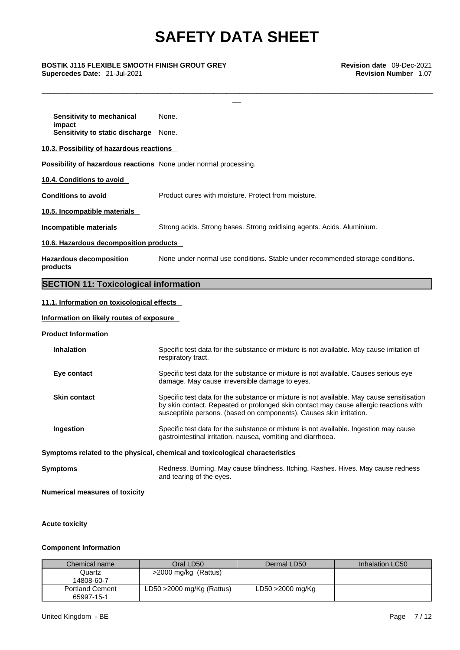\_\_\_\_\_\_\_\_\_\_\_\_\_\_\_\_\_\_\_\_\_\_\_\_\_\_\_\_\_\_\_\_\_\_\_\_\_\_\_\_\_\_\_\_\_\_\_\_\_\_\_\_\_\_\_\_\_\_\_\_\_\_\_\_\_\_\_\_\_\_\_\_\_\_\_\_\_\_\_\_\_\_\_\_\_\_\_\_\_\_\_

# \_\_ **BOSTIK J115 FLEXIBLE SMOOTH FINISH GROUT GREY Revision date** 09-Dec-2021 **Supercedes Date:** 21-Jul-2021 **Revision Number** 1.07

| Possibility of hazardous reactions None under normal processing.               |
|--------------------------------------------------------------------------------|
|                                                                                |
| Product cures with moisture. Protect from moisture.                            |
|                                                                                |
| Strong acids. Strong bases. Strong oxidising agents. Acids. Aluminium.         |
|                                                                                |
| None under normal use conditions. Stable under recommended storage conditions. |
|                                                                                |

#### **11.1. Information on toxicological effects**

#### **Information on likely routes of exposure**

#### **Product Information**

| <b>Inhalation</b>   | Specific test data for the substance or mixture is not available. May cause irritation of<br>respiratory tract.                                                                                                                                           |
|---------------------|-----------------------------------------------------------------------------------------------------------------------------------------------------------------------------------------------------------------------------------------------------------|
| Eye contact         | Specific test data for the substance or mixture is not available. Causes serious eye<br>damage. May cause irreversible damage to eyes.                                                                                                                    |
| <b>Skin contact</b> | Specific test data for the substance or mixture is not available. May cause sensitisation<br>by skin contact. Repeated or prolonged skin contact may cause allergic reactions with<br>susceptible persons. (based on components). Causes skin irritation. |
| Ingestion           | Specific test data for the substance or mixture is not available. Ingestion may cause<br>gastrointestinal irritation, nausea, vomiting and diarrhoea.                                                                                                     |
|                     | Symptoms related to the physical, chemical and toxicological characteristics                                                                                                                                                                              |
| Symptoms            | Redness. Burning. May cause blindness. Itching. Rashes. Hives. May cause redness<br>and tearing of the eyes.                                                                                                                                              |

#### **Numerical measures of toxicity**

#### **Acute toxicity**

#### **Component Information**

| Chemical name                        | Oral LD50                    | Dermal LD50      | Inhalation LC50 |
|--------------------------------------|------------------------------|------------------|-----------------|
| Quartz<br>14808-60-7                 | >2000 mg/kg (Rattus)         |                  |                 |
| <b>Portland Cement</b><br>65997-15-1 | LD50 $>$ 2000 mg/Kg (Rattus) | LD50 >2000 mg/Kg |                 |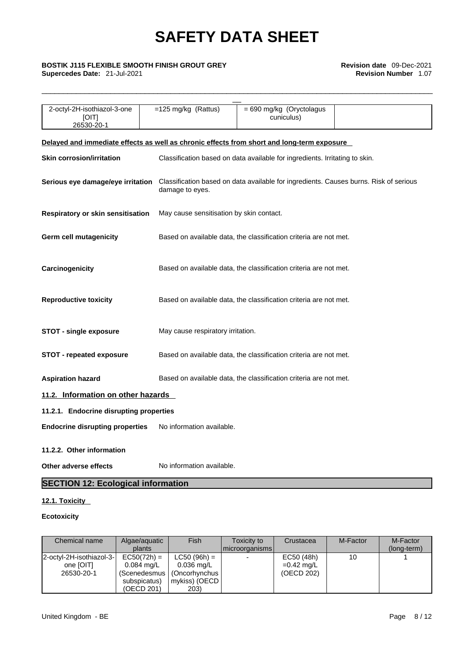\_\_\_\_\_\_\_\_\_\_\_\_\_\_\_\_\_\_\_\_\_\_\_\_\_\_\_\_\_\_\_\_\_\_\_\_\_\_\_\_\_\_\_\_\_\_\_\_\_\_\_\_\_\_\_\_\_\_\_\_\_\_\_\_\_\_\_\_\_\_\_\_\_\_\_\_\_\_\_\_\_\_\_\_\_\_\_\_\_\_\_

# \_\_ **BOSTIK J115 FLEXIBLE SMOOTH FINISH GROUT GREY Revision date** 09-Dec-2021

**Supercedes Date:** 21-Jul-2021 **Revision Number** 1.07

| 2-octyl-2H-isothiazol-3-one<br>[OIT]<br>26530-20-1                                         | $=125$ mg/kg (Rattus)                                                       | = 690 mg/kg (Oryctolagus<br>cuniculus)                                                |  |  |
|--------------------------------------------------------------------------------------------|-----------------------------------------------------------------------------|---------------------------------------------------------------------------------------|--|--|
| Delayed and immediate effects as well as chronic effects from short and long-term exposure |                                                                             |                                                                                       |  |  |
| <b>Skin corrosion/irritation</b>                                                           | Classification based on data available for ingredients. Irritating to skin. |                                                                                       |  |  |
| Serious eye damage/eye irritation                                                          | damage to eyes.                                                             | Classification based on data available for ingredients. Causes burns. Risk of serious |  |  |
| Respiratory or skin sensitisation                                                          | May cause sensitisation by skin contact.                                    |                                                                                       |  |  |
| <b>Germ cell mutagenicity</b>                                                              |                                                                             | Based on available data, the classification criteria are not met.                     |  |  |
| Carcinogenicity                                                                            |                                                                             | Based on available data, the classification criteria are not met.                     |  |  |
| <b>Reproductive toxicity</b>                                                               |                                                                             | Based on available data, the classification criteria are not met.                     |  |  |
| <b>STOT - single exposure</b>                                                              | May cause respiratory irritation.                                           |                                                                                       |  |  |
| <b>STOT - repeated exposure</b>                                                            |                                                                             | Based on available data, the classification criteria are not met.                     |  |  |
| <b>Aspiration hazard</b>                                                                   |                                                                             | Based on available data, the classification criteria are not met.                     |  |  |
| 11.2. Information on other hazards                                                         |                                                                             |                                                                                       |  |  |
| 11.2.1. Endocrine disrupting properties                                                    |                                                                             |                                                                                       |  |  |
| <b>Endocrine disrupting properties</b>                                                     | No information available.                                                   |                                                                                       |  |  |
| 11.2.2. Other information                                                                  |                                                                             |                                                                                       |  |  |
| Other adverse effects                                                                      | No information available.                                                   |                                                                                       |  |  |
| <b>SECTION 12: Ecological information</b>                                                  |                                                                             |                                                                                       |  |  |

### **12.1. Toxicity**

#### **Ecotoxicity**

| Chemical name            | Algae/aguatic        | Fish                     | Toxicity to              | Crustacea    | M-Factor | M-Factor    |  |
|--------------------------|----------------------|--------------------------|--------------------------|--------------|----------|-------------|--|
|                          | plants               |                          | microorganisms           |              |          | (long-term) |  |
| 2-octyl-2H-isothiazol-3- | $EC50(72h) =$        | $LC50 (96h) =$           | $\overline{\phantom{0}}$ | EC50 (48h)   |          |             |  |
| one [OIT]                | $0.084 \text{ ma/L}$ | $0.036 \,\mathrm{mag/L}$ |                          | $=0.42$ mg/L |          |             |  |
| 26530-20-1               | Scenedesmus          | (Oncorhynchus            |                          | (OECD 202)   |          |             |  |
|                          | subspicatus)         | mykiss) (OECD            |                          |              |          |             |  |
|                          | (OECD 201)           | 203)                     |                          |              |          |             |  |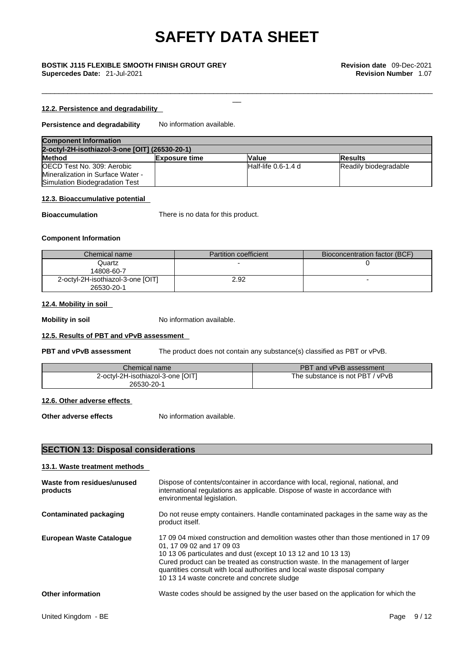\_\_\_\_\_\_\_\_\_\_\_\_\_\_\_\_\_\_\_\_\_\_\_\_\_\_\_\_\_\_\_\_\_\_\_\_\_\_\_\_\_\_\_\_\_\_\_\_\_\_\_\_\_\_\_\_\_\_\_\_\_\_\_\_\_\_\_\_\_\_\_\_\_\_\_\_\_\_\_\_\_\_\_\_\_\_\_\_\_\_\_

#### **12.2. Persistence and degradability**

#### **Persistence and degradability** No information available.

| <b>Component Information</b>                   |                      |                     |                       |
|------------------------------------------------|----------------------|---------------------|-----------------------|
| 2-octyl-2H-isothiazol-3-one [OIT] (26530-20-1) |                      |                     |                       |
| <b>Method</b>                                  | <b>Exposure time</b> | Value               | <b>Results</b>        |
| <b>IOECD Test No. 309: Aerobic</b>             |                      | Half-life 0.6-1.4 d | Readily biodegradable |
| Mineralization in Surface Water -              |                      |                     |                       |
| Simulation Biodegradation Test                 |                      |                     |                       |

#### **12.3. Bioaccumulative potential**

**Bioaccumulation** There is no data for this product.

#### **Component Information**

| Chemical name                                   | <b>Partition coefficient</b> | Bioconcentration factor (BCF) |
|-------------------------------------------------|------------------------------|-------------------------------|
| Quartz<br>14808-60-7                            |                              |                               |
| 2-octyl-2H-isothiazol-3-one [OIT]<br>26530-20-1 | 2.92                         |                               |

#### **12.4. Mobility in soil**

**Mobility in soil** No information available.

#### **12.5. Results of PBT and vPvB assessment**

**PBT and vPvB assessment** The product does not contain any substance(s) classified as PBT or vPvB.

| Chemical name                     | PBT and vPvB assessment   |
|-----------------------------------|---------------------------|
| 2-octyl-2H-isothiazol-3-one [OIT] | / ∨PvB                    |
| 26530-20-1                        | The substance is not PBT. |

#### **12.6. Other adverse effects**

**Other adverse effects** No information available.

#### **SECTION 13: Disposal considerations**

#### **13.1. Waste treatment methods**

| Waste from residues/unused<br>products | Dispose of contents/container in accordance with local, regional, national, and<br>international regulations as applicable. Dispose of waste in accordance with<br>environmental legislation.                                                                                                                                                                                                       |
|----------------------------------------|-----------------------------------------------------------------------------------------------------------------------------------------------------------------------------------------------------------------------------------------------------------------------------------------------------------------------------------------------------------------------------------------------------|
| Contaminated packaging                 | Do not reuse empty containers. Handle contaminated packages in the same way as the<br>product itself.                                                                                                                                                                                                                                                                                               |
| European Waste Catalogue               | 17,09,04 mixed construction and demolition wastes other than those mentioned in 17,09<br>01, 17 09 02 and 17 09 03<br>10 13 06 particulates and dust (except 10 13 12 and 10 13 13)<br>Cured product can be treated as construction waste. In the management of larger<br>quantities consult with local authorities and local waste disposal company<br>10 13 14 waste concrete and concrete sludge |
| <b>Other information</b>               | Waste codes should be assigned by the user based on the application for which the                                                                                                                                                                                                                                                                                                                   |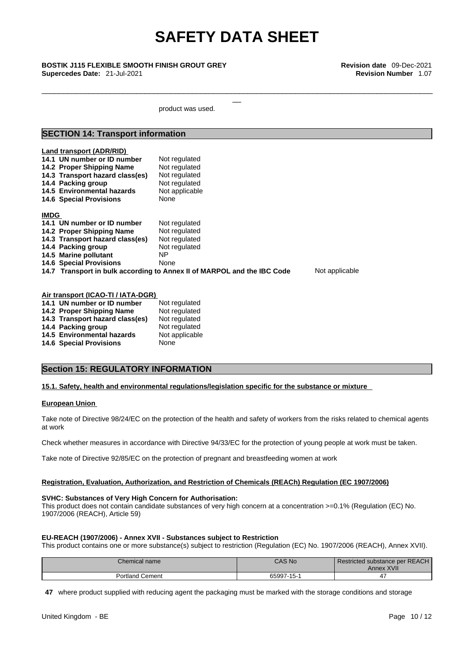\_\_\_\_\_\_\_\_\_\_\_\_\_\_\_\_\_\_\_\_\_\_\_\_\_\_\_\_\_\_\_\_\_\_\_\_\_\_\_\_\_\_\_\_\_\_\_\_\_\_\_\_\_\_\_\_\_\_\_\_\_\_\_\_\_\_\_\_\_\_\_\_\_\_\_\_\_\_\_\_\_\_\_\_\_\_\_\_\_\_\_

\_\_ **BOSTIK J115 FLEXIBLE SMOOTH FINISH GROUT GREY Revision date** 09-Dec-2021 **Supercedes Date:** 21-Jul-2021 **Revision Number** 1.07

product was used.

#### **SECTION 14: Transport information**

|             | Land transport (ADR/RID)<br>14.1 UN number or ID number<br>14.2 Proper Shipping Name<br>14.3 Transport hazard class(es)<br>14.4 Packing group<br>14.5 Environmental hazards<br><b>14.6 Special Provisions</b> | Not regulated<br>Not regulated<br>Not regulated<br>Not regulated<br>Not applicable<br>None |                |
|-------------|---------------------------------------------------------------------------------------------------------------------------------------------------------------------------------------------------------------|--------------------------------------------------------------------------------------------|----------------|
|             |                                                                                                                                                                                                               |                                                                                            |                |
| <b>IMDG</b> |                                                                                                                                                                                                               |                                                                                            |                |
|             | 14.1 UN number or ID number                                                                                                                                                                                   | Not regulated                                                                              |                |
|             | 14.2 Proper Shipping Name                                                                                                                                                                                     | Not regulated                                                                              |                |
|             | 14.3 Transport hazard class(es)                                                                                                                                                                               | Not regulated                                                                              |                |
|             | 14.4 Packing group                                                                                                                                                                                            | Not regulated                                                                              |                |
|             | 14.5 Marine pollutant                                                                                                                                                                                         | NP.                                                                                        |                |
|             | <b>14.6 Special Provisions</b>                                                                                                                                                                                | None                                                                                       |                |
|             |                                                                                                                                                                                                               | 14.7 Transport in bulk according to Annex II of MARPOL and the IBC Code                    | Not applicable |

| Air transport (ICAO-TI / IATA-DGR) |                |  |  |
|------------------------------------|----------------|--|--|
| 14.1 UN number or ID number        | Not regulated  |  |  |
| 14.2 Proper Shipping Name          | Not regulated  |  |  |
| 14.3 Transport hazard class(es)    | Not regulated  |  |  |
| 14.4 Packing group                 | Not regulated  |  |  |
| 14.5 Environmental hazards         | Not applicable |  |  |
| <b>14.6 Special Provisions</b>     | None           |  |  |
|                                    |                |  |  |

#### **Section 15: REGULATORY INFORMATION**

#### **15.1. Safety, health and environmental regulations/legislation specific for the substance or mixture**

#### **European Union**

Take note of Directive 98/24/EC on the protection of the health and safety of workers from the risks related to chemical agents at work

Check whether measures in accordance with Directive 94/33/EC for the protection of young people at work must be taken.

Take note of Directive 92/85/EC on the protection of pregnant and breastfeeding women at work

#### **Registration, Evaluation, Authorization, and Restriction of Chemicals (REACh) Regulation (EC 1907/2006)**

#### **SVHC: Substances of Very High Concern for Authorisation:**

This product does not contain candidate substances of very high concern at a concentration >=0.1% (Regulation (EC) No. 1907/2006 (REACH), Article 59)

#### **EU-REACH (1907/2006) - Annex XVII - Substances subject to Restriction**

This product contains one or more substance(s) subject to restriction (Regulation (EC) No. 1907/2006 (REACH), Annex XVII).

| Chemical name        | <b>CAS No</b> | Restricted substance per REACH<br>Annex XVII |
|----------------------|---------------|----------------------------------------------|
| Portland<br>I Cement | 65997-15-1    |                                              |

**47** where product supplied with reducing agent the packaging must be marked with the storage conditions and storage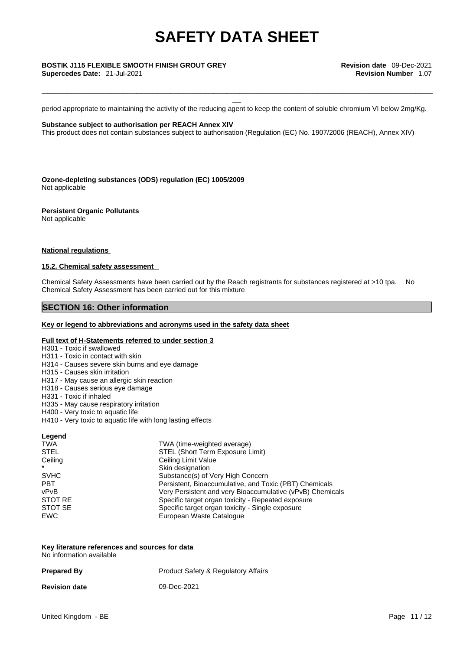period appropriate to maintaining the activity of the reducing agent to keep the content of soluble chromium VI below 2mg/Kg.

\_\_\_\_\_\_\_\_\_\_\_\_\_\_\_\_\_\_\_\_\_\_\_\_\_\_\_\_\_\_\_\_\_\_\_\_\_\_\_\_\_\_\_\_\_\_\_\_\_\_\_\_\_\_\_\_\_\_\_\_\_\_\_\_\_\_\_\_\_\_\_\_\_\_\_\_\_\_\_\_\_\_\_\_\_\_\_\_\_\_\_

**Substance subject to authorisation per REACH Annex XIV**

This product does not contain substances subject to authorisation (Regulation (EC) No. 1907/2006 (REACH), Annex XIV)

**Ozone-depleting substances (ODS) regulation (EC) 1005/2009** Not applicable

**Persistent Organic Pollutants** Not applicable

#### **National regulations**

#### **15.2. Chemical safety assessment**

Chemical Safety Assessments have been carried out by the Reach registrants for substances registered at >10 tpa. No Chemical Safety Assessment has been carried out for this mixture

#### **SECTION 16: Other information**

#### **Key or legend to abbreviations and acronyms used in the safety data sheet**

#### **Full text of H-Statements referred to under section 3**

- H301 Toxic if swallowed
- H311 Toxic in contact with skin
- H314 Causes severe skin burns and eye damage
- H315 Causes skin irritation
- H317 May cause an allergic skin reaction
- H318 Causes serious eye damage
- H331 Toxic if inhaled
- H335 May cause respiratory irritation
- H400 Very toxic to aquatic life
- H410 Very toxic to aquatic life with long lasting effects

| Legend      |                                                           |
|-------------|-----------------------------------------------------------|
| <b>TWA</b>  | TWA (time-weighted average)                               |
| <b>STEL</b> | STEL (Short Term Exposure Limit)                          |
| Ceiling     | Ceiling Limit Value                                       |
| $\star$     | Skin designation                                          |
| <b>SVHC</b> | Substance(s) of Very High Concern                         |
| <b>PBT</b>  | Persistent, Bioaccumulative, and Toxic (PBT) Chemicals    |
| vPvB        | Very Persistent and very Bioaccumulative (vPvB) Chemicals |
| STOT RE     | Specific target organ toxicity - Repeated exposure        |
| STOT SE     | Specific target organ toxicity - Single exposure          |
| <b>EWC</b>  | European Waste Catalogue                                  |

| Key literature references and sources for data |  |
|------------------------------------------------|--|
| No information available                       |  |

| <b>Prepared By</b>   | <b>Product Safety &amp; Regulatory Affairs</b> |
|----------------------|------------------------------------------------|
| <b>Revision date</b> | 09-Dec-2021                                    |